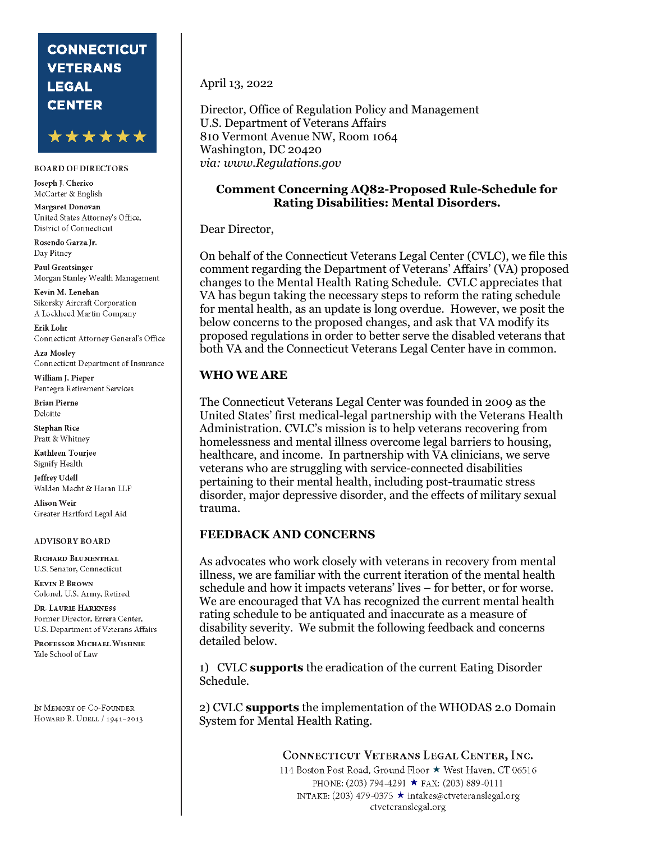# **CONNECTICUT VETERANS LEGAL CENTER**



#### **BOARD OF DIRECTORS**

Joseph J. Cherico McCarter & English

Margaret Donovan United States Attorney's Office, District of Connecticut

Rosendo Garza Ir. Day Pitney

**Paul Greatsinger** Morgan Stanley Wealth Management

Kevin M. Lenehan Sikorsky Aircraft Corporation A Lockheed Martin Company

Erik Lohr Connecticut Attorney General's Office

Aza Moslev Connecticut Department of Insurance

William J. Pieper Pentegra Retirement Services

**Brian Pierne** Deloitte

**Stephan Rice** Pratt & Whitney

Kathleen Touriee Signify Health

Jeffrey Udell Walden Macht & Haran LLP

Alison Weir Greater Hartford Legal Aid

#### **ADVISORY BOARD**

RICHARD BLUMENTHAL U.S. Senator, Connecticut

**KEVIN P. BROWN** Colonel, U.S. Army, Retired

DR. LAURIE HARKNESS Former Director, Errera Center, U.S. Department of Veterans Affairs

PROFESSOR MICHAEL WISHNIE Yale School of Law

IN MEMORY OF CO-FOUNDER HOWARD R. UDELL / 1941-2013 April 13, 2022

Director, Office of Regulation Policy and Management U.S. Department of Veterans Affairs 810 Vermont Avenue NW, Room 1064 Washington, DC 20420 *via: www.Regulations.gov*

#### **Comment Concerning AQ82-Proposed Rule-Schedule for Rating Disabilities: Mental Disorders.**

#### Dear Director,

On behalf of the Connecticut Veterans Legal Center (CVLC), we file this comment regarding the Department of Veterans' Affairs' (VA) proposed changes to the Mental Health Rating Schedule. CVLC appreciates that VA has begun taking the necessary steps to reform the rating schedule for mental health, as an update is long overdue. However, we posit the below concerns to the proposed changes, and ask that VA modify its proposed regulations in order to better serve the disabled veterans that both VA and the Connecticut Veterans Legal Center have in common.

#### **WHO WE ARE**

The Connecticut Veterans Legal Center was founded in 2009 as the United States' first medical-legal partnership with the Veterans Health Administration. CVLC's mission is to help veterans recovering from homelessness and mental illness overcome legal barriers to housing, healthcare, and income. In partnership with VA clinicians, we serve veterans who are struggling with service-connected disabilities pertaining to their mental health, including post-traumatic stress disorder, major depressive disorder, and the effects of military sexual trauma.

#### **FEEDBACK AND CONCERNS**

As advocates who work closely with veterans in recovery from mental illness, we are familiar with the current iteration of the mental health schedule and how it impacts veterans' lives – for better, or for worse. We are encouraged that VA has recognized the current mental health rating schedule to be antiquated and inaccurate as a measure of disability severity. We submit the following feedback and concerns detailed below.

1) CVLC **supports** the eradication of the current Eating Disorder Schedule.

2) CVLC **supports** the implementation of the WHODAS 2.0 Domain System for Mental Health Rating.

> CONNECTICUT VETERANS LEGAL CENTER, INC. 114 Boston Post Road, Ground Floor ★ West Haven, CT 06516 PHONE: (203) 794-4291 ★ FAX: (203) 889-0111 INTAKE: (203) 479-0375 ★ intakes@ctveteranslegal.org ctveteranslegal.org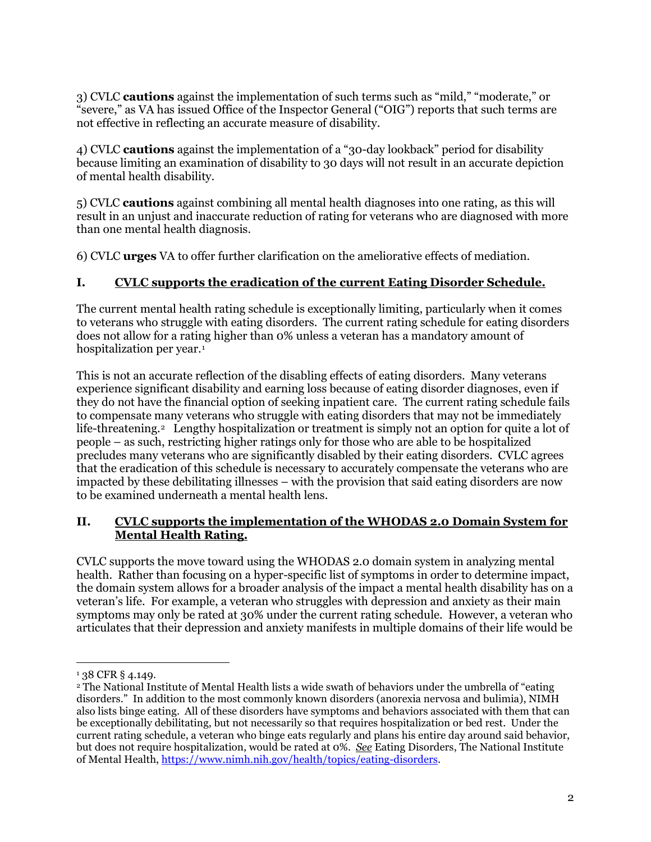3) CVLC **cautions** against the implementation of such terms such as "mild," "moderate," or "severe," as VA has issued Office of the Inspector General ("OIG") reports that such terms are not effective in reflecting an accurate measure of disability.

4) CVLC **cautions** against the implementation of a "30-day lookback" period for disability because limiting an examination of disability to 30 days will not result in an accurate depiction of mental health disability.

5) CVLC **cautions** against combining all mental health diagnoses into one rating, as this will result in an unjust and inaccurate reduction of rating for veterans who are diagnosed with more than one mental health diagnosis.

6) CVLC **urges** VA to offer further clarification on the ameliorative effects of mediation.

## **I. CVLC supports the eradication of the current Eating Disorder Schedule.**

The current mental health rating schedule is exceptionally limiting, particularly when it comes to veterans who struggle with eating disorders. The current rating schedule for eating disorders does not allow for a rating higher than 0% unless a veteran has a mandatory amount of hospitalization per year.[1](#page-1-0)

This is not an accurate reflection of the disabling effects of eating disorders. Many veterans experience significant disability and earning loss because of eating disorder diagnoses, even if they do not have the financial option of seeking inpatient care. The current rating schedule fails to compensate many veterans who struggle with eating disorders that may not be immediately life-threatening.[2](#page-1-1) Lengthy hospitalization or treatment is simply not an option for quite a lot of people – as such, restricting higher ratings only for those who are able to be hospitalized precludes many veterans who are significantly disabled by their eating disorders. CVLC agrees that the eradication of this schedule is necessary to accurately compensate the veterans who are impacted by these debilitating illnesses – with the provision that said eating disorders are now to be examined underneath a mental health lens.

## **II. CVLC supports the implementation of the WHODAS 2.0 Domain System for Mental Health Rating.**

CVLC supports the move toward using the WHODAS 2.0 domain system in analyzing mental health. Rather than focusing on a hyper-specific list of symptoms in order to determine impact, the domain system allows for a broader analysis of the impact a mental health disability has on a veteran's life. For example, a veteran who struggles with depression and anxiety as their main symptoms may only be rated at 30% under the current rating schedule. However, a veteran who articulates that their depression and anxiety manifests in multiple domains of their life would be

 $\overline{a}$ 

<span id="page-1-0"></span><sup>&</sup>lt;sup>1</sup> 38 CFR § 4.149.

<span id="page-1-1"></span><sup>&</sup>lt;sup>2</sup> The National Institute of Mental Health lists a wide swath of behaviors under the umbrella of "eating" disorders." In addition to the most commonly known disorders (anorexia nervosa and bulimia), NIMH also lists binge eating. All of these disorders have symptoms and behaviors associated with them that can be exceptionally debilitating, but not necessarily so that requires hospitalization or bed rest. Under the current rating schedule, a veteran who binge eats regularly and plans his entire day around said behavior, but does not require hospitalization, would be rated at 0%. *See* Eating Disorders, The National Institute of Mental Health, [https://www.nimh.nih.gov/health/topics/eating-disorders.](https://www.nimh.nih.gov/health/topics/eating-disorders)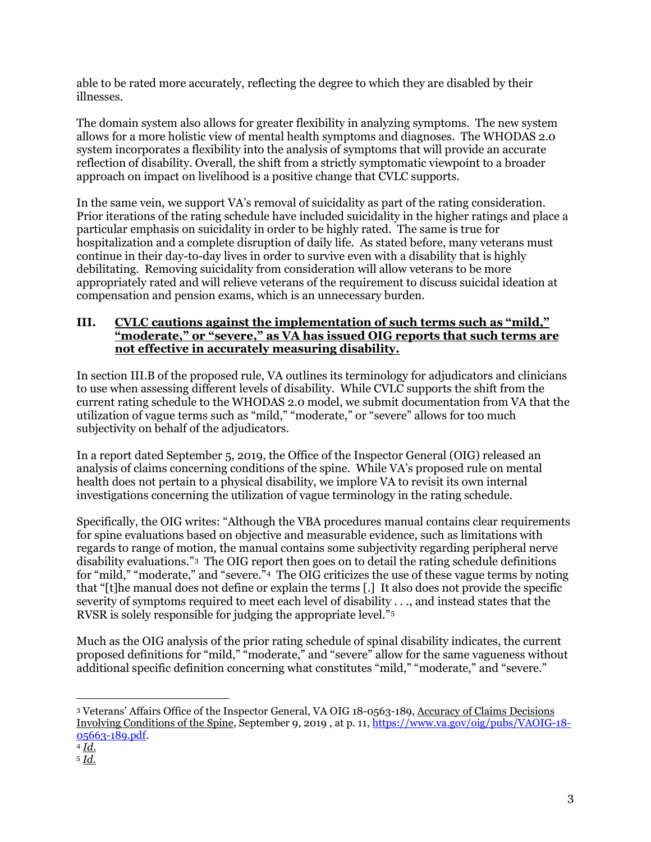able to be rated more accurately, reflecting the degree to which they are disabled by their illnesses.

The domain system also allows for greater flexibility in analyzing symptoms. The new system allows for a more holistic view of mental health symptoms and diagnoses. The WHODAS 2.0 system incorporates a flexibility into the analysis of symptoms that will provide an accurate reflection of disability. Overall, the shift from a strictly symptomatic viewpoint to a broader approach on impact on livelihood is a positive change that CVLC supports.

In the same vein, we support VA's removal of suicidality as part of the rating consideration. Prior iterations of the rating schedule have included suicidality in the higher ratings and place a particular emphasis on suicidality in order to be highly rated. The same is true for hospitalization and a complete disruption of daily life. As stated before, many veterans must continue in their day-to-day lives in order to survive even with a disability that is highly debilitating. Removing suicidality from consideration will allow veterans to be more appropriately rated and will relieve veterans of the requirement to discuss suicidal ideation at compensation and pension exams, which is an unnecessary burden.

# **III. CVLC cautions against the implementation of such terms such as "mild," "moderate," or "severe," as VA has issued OIG reports that such terms are not effective in accurately measuring disability.**

In section III.B of the proposed rule, VA outlines its terminology for adjudicators and clinicians to use when assessing different levels of disability. While CVLC supports the shift from the current rating schedule to the WHODAS 2.0 model, we submit documentation from VA that the utilization of vague terms such as "mild," "moderate," or "severe" allows for too much subjectivity on behalf of the adjudicators.

In a report dated September 5, 2019, the Office of the Inspector General (OIG) released an analysis of claims concerning conditions of the spine. While VA's proposed rule on mental health does not pertain to a physical disability, we implore VA to revisit its own internal investigations concerning the utilization of vague terminology in the rating schedule.

Specifically, the OIG writes: "Although the VBA procedures manual contains clear requirements for spine evaluations based on objective and measurable evidence, such as limitations with regards to range of motion, the manual contains some subjectivity regarding peripheral nerve disability evaluations."[3](#page-2-0) The OIG report then goes on to detail the rating schedule definitions for "mild," "moderate," and "severe. $^2$ <sup>4</sup> The OIG criticizes the use of these vague terms by noting that "[t]he manual does not define or explain the terms [.] It also does not provide the specific severity of symptoms required to meet each level of disability . . ., and instead states that the RVSR is solely responsible for judging the appropriate level."[5](#page-2-2)

Much as the OIG analysis of the prior rating schedule of spinal disability indicates, the current proposed definitions for "mild," "moderate," and "severe" allow for the same vagueness without additional specific definition concerning what constitutes "mild," "moderate," and "severe."

<span id="page-2-0"></span> $\overline{a}$ <sup>3</sup> Veterans' Affairs Office of the Inspector General, VA OIG 18-0563-189, Accuracy of Claims Decisions Involving Conditions of the Spine, September 9, 2019 , at p. 11, [https://www.va.gov/oig/pubs/VAOIG-18-](https://www.va.gov/oig/pubs/VAOIG-18-05663-189.pdf) [05663-189.pdf.](https://www.va.gov/oig/pubs/VAOIG-18-05663-189.pdf) 4 *Id*.

<span id="page-2-1"></span>

<span id="page-2-2"></span><sup>5</sup> *Id*.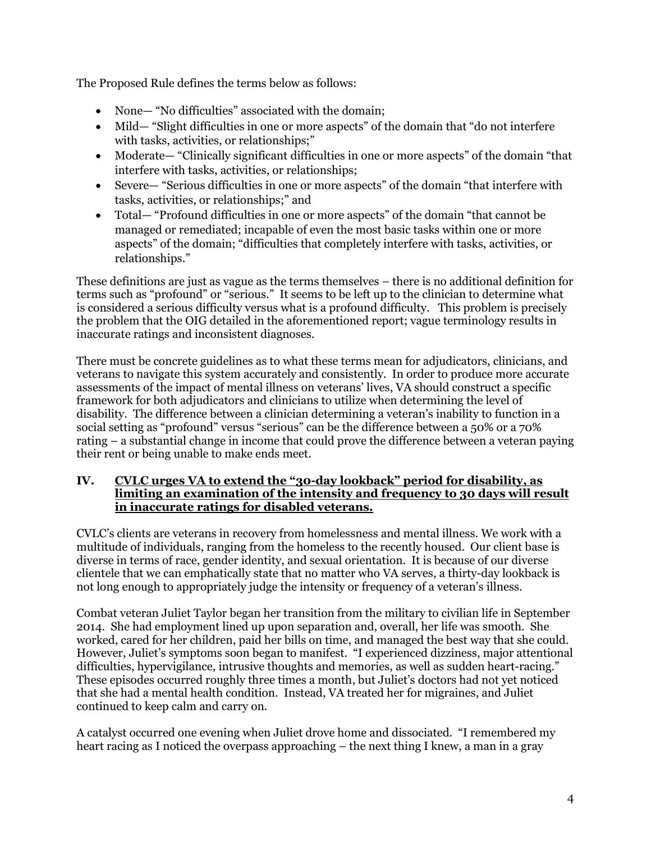The Proposed Rule defines the terms below as follows:

- None— "No difficulties" associated with the domain;
- Mild— "Slight difficulties in one or more aspects" of the domain that "do not interfere with tasks, activities, or relationships;"
- Moderate— "Clinically significant difficulties in one or more aspects" of the domain "that interfere with tasks, activities, or relationships;
- Severe— "Serious difficulties in one or more aspects" of the domain "that interfere with tasks, activities, or relationships;" and
- Total— "Profound difficulties in one or more aspects" of the domain "that cannot be managed or remediated; incapable of even the most basic tasks within one or more aspects" of the domain; "difficulties that completely interfere with tasks, activities, or relationships."

These definitions are just as vague as the terms themselves – there is no additional definition for terms such as "profound" or "serious." It seems to be left up to the clinician to determine what is considered a serious difficulty versus what is a profound difficulty. This problem is precisely the problem that the OIG detailed in the aforementioned report; vague terminology results in inaccurate ratings and inconsistent diagnoses.

There must be concrete guidelines as to what these terms mean for adjudicators, clinicians, and veterans to navigate this system accurately and consistently. In order to produce more accurate assessments of the impact of mental illness on veterans' lives, VA should construct a specific framework for both adjudicators and clinicians to utilize when determining the level of disability. The difference between a clinician determining a veteran's inability to function in a social setting as "profound" versus "serious" can be the difference between a 50% or a 70% rating – a substantial change in income that could prove the difference between a veteran paying their rent or being unable to make ends meet.

## **IV. CVLC urges VA to extend the "30-day lookback" period for disability, as limiting an examination of the intensity and frequency to 30 days will result in inaccurate ratings for disabled veterans.**

CVLC's clients are veterans in recovery from homelessness and mental illness. We work with a multitude of individuals, ranging from the homeless to the recently housed. Our client base is diverse in terms of race, gender identity, and sexual orientation. It is because of our diverse clientele that we can emphatically state that no matter who VA serves, a thirty-day lookback is not long enough to appropriately judge the intensity or frequency of a veteran's illness.

Combat veteran Juliet Taylor began her transition from the military to civilian life in September 2014. She had employment lined up upon separation and, overall, her life was smooth. She worked, cared for her children, paid her bills on time, and managed the best way that she could. However, Juliet's symptoms soon began to manifest. "I experienced dizziness, major attentional difficulties, hypervigilance, intrusive thoughts and memories, as well as sudden heart-racing." These episodes occurred roughly three times a month, but Juliet's doctors had not yet noticed that she had a mental health condition. Instead, VA treated her for migraines, and Juliet continued to keep calm and carry on.

A catalyst occurred one evening when Juliet drove home and dissociated. "I remembered my heart racing as I noticed the overpass approaching – the next thing I knew, a man in a gray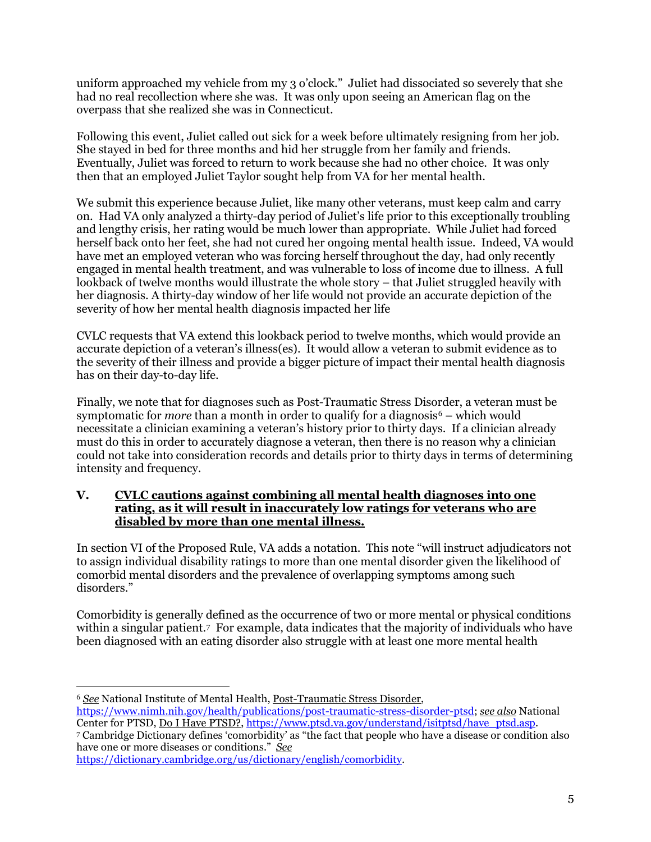uniform approached my vehicle from my 3 o'clock." Juliet had dissociated so severely that she had no real recollection where she was. It was only upon seeing an American flag on the overpass that she realized she was in Connecticut.

Following this event, Juliet called out sick for a week before ultimately resigning from her job. She stayed in bed for three months and hid her struggle from her family and friends. Eventually, Juliet was forced to return to work because she had no other choice. It was only then that an employed Juliet Taylor sought help from VA for her mental health.

We submit this experience because Juliet, like many other veterans, must keep calm and carry on. Had VA only analyzed a thirty-day period of Juliet's life prior to this exceptionally troubling and lengthy crisis, her rating would be much lower than appropriate. While Juliet had forced herself back onto her feet, she had not cured her ongoing mental health issue. Indeed, VA would have met an employed veteran who was forcing herself throughout the day, had only recently engaged in mental health treatment, and was vulnerable to loss of income due to illness. A full lookback of twelve months would illustrate the whole story – that Juliet struggled heavily with her diagnosis. A thirty-day window of her life would not provide an accurate depiction of the severity of how her mental health diagnosis impacted her life

CVLC requests that VA extend this lookback period to twelve months, which would provide an accurate depiction of a veteran's illness(es). It would allow a veteran to submit evidence as to the severity of their illness and provide a bigger picture of impact their mental health diagnosis has on their day-to-day life.

Finally, we note that for diagnoses such as Post-Traumatic Stress Disorder, a veteran must be symptomatic for *more* than a month in order to qualify for a diagnosis<sup> $6$ </sup> – which would necessitate a clinician examining a veteran's history prior to thirty days. If a clinician already must do this in order to accurately diagnose a veteran, then there is no reason why a clinician could not take into consideration records and details prior to thirty days in terms of determining intensity and frequency.

#### **V. CVLC cautions against combining all mental health diagnoses into one rating, as it will result in inaccurately low ratings for veterans who are disabled by more than one mental illness.**

In section VI of the Proposed Rule, VA adds a notation. This note "will instruct adjudicators not to assign individual disability ratings to more than one mental disorder given the likelihood of comorbid mental disorders and the prevalence of overlapping symptoms among such disorders."

Comorbidity is generally defined as the occurrence of two or more mental or physical conditions within a singular patient.[7](#page-4-1) For example, data indicates that the majority of individuals who have been diagnosed with an eating disorder also struggle with at least one more mental health

 $\overline{a}$ <sup>6</sup> *See* National Institute of Mental Health, Post-Traumatic Stress Disorder,

<span id="page-4-0"></span>[https://www.nimh.nih.gov/health/publications/post-traumatic-stress-disorder-ptsd;](https://www.nimh.nih.gov/health/publications/post-traumatic-stress-disorder-ptsd) *see also* National Center for PTSD, Do I Have PTSD?, [https://www.ptsd.va.gov/understand/isitptsd/have\\_ptsd.asp.](https://www.ptsd.va.gov/understand/isitptsd/have_ptsd.asp)

<span id="page-4-1"></span><sup>7</sup> Cambridge Dictionary defines 'comorbidity' as "the fact that people who have a disease or condition also have one or more diseases or conditions." *See*

[https://dictionary.cambridge.org/us/dictionary/english/comorbidity.](https://dictionary.cambridge.org/us/dictionary/english/comorbidity)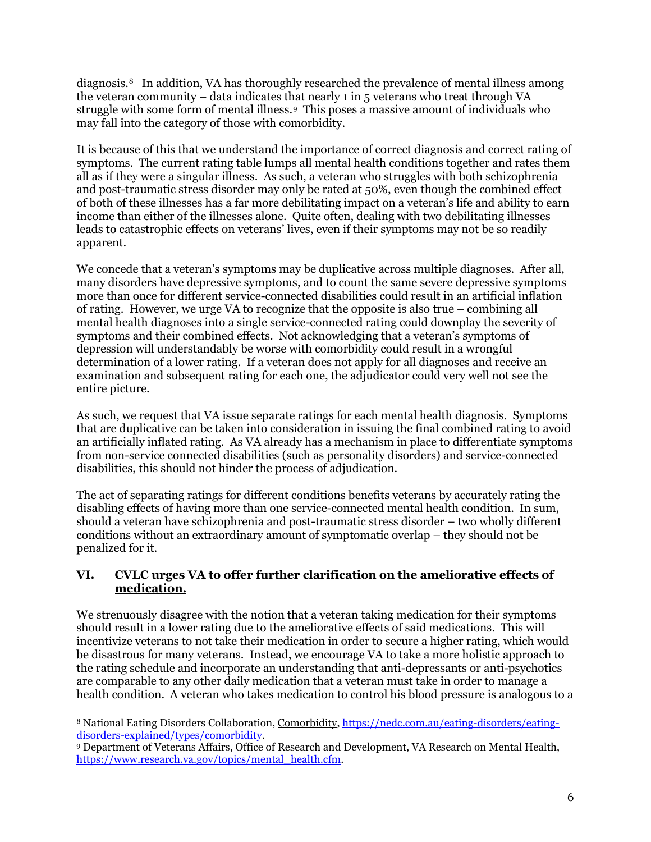diagnosis.[8](#page-5-0) In addition, VA has thoroughly researched the prevalence of mental illness among the veteran community – data indicates that nearly 1 in 5 veterans who treat through VA struggle with some form of mental illness.[9](#page-5-1) This poses a massive amount of individuals who may fall into the category of those with comorbidity.

It is because of this that we understand the importance of correct diagnosis and correct rating of symptoms. The current rating table lumps all mental health conditions together and rates them all as if they were a singular illness. As such, a veteran who struggles with both schizophrenia and post-traumatic stress disorder may only be rated at 50%, even though the combined effect of both of these illnesses has a far more debilitating impact on a veteran's life and ability to earn income than either of the illnesses alone. Quite often, dealing with two debilitating illnesses leads to catastrophic effects on veterans' lives, even if their symptoms may not be so readily apparent.

We concede that a veteran's symptoms may be duplicative across multiple diagnoses. After all, many disorders have depressive symptoms, and to count the same severe depressive symptoms more than once for different service-connected disabilities could result in an artificial inflation of rating. However, we urge VA to recognize that the opposite is also true – combining all mental health diagnoses into a single service-connected rating could downplay the severity of symptoms and their combined effects. Not acknowledging that a veteran's symptoms of depression will understandably be worse with comorbidity could result in a wrongful determination of a lower rating. If a veteran does not apply for all diagnoses and receive an examination and subsequent rating for each one, the adjudicator could very well not see the entire picture.

As such, we request that VA issue separate ratings for each mental health diagnosis. Symptoms that are duplicative can be taken into consideration in issuing the final combined rating to avoid an artificially inflated rating. As VA already has a mechanism in place to differentiate symptoms from non-service connected disabilities (such as personality disorders) and service-connected disabilities, this should not hinder the process of adjudication.

The act of separating ratings for different conditions benefits veterans by accurately rating the disabling effects of having more than one service-connected mental health condition. In sum, should a veteran have schizophrenia and post-traumatic stress disorder – two wholly different conditions without an extraordinary amount of symptomatic overlap – they should not be penalized for it.

## **VI. CVLC urges VA to offer further clarification on the ameliorative effects of medication.**

We strenuously disagree with the notion that a veteran taking medication for their symptoms should result in a lower rating due to the ameliorative effects of said medications. This will incentivize veterans to not take their medication in order to secure a higher rating, which would be disastrous for many veterans. Instead, we encourage VA to take a more holistic approach to the rating schedule and incorporate an understanding that anti-depressants or anti-psychotics are comparable to any other daily medication that a veteran must take in order to manage a health condition. A veteran who takes medication to control his blood pressure is analogous to a

<span id="page-5-0"></span> $\overline{a}$ <sup>8</sup> National Eating Disorders Collaboration, Comorbidity, [https://nedc.com.au/eating-disorders/eating](https://nedc.com.au/eating-disorders/eating-disorders-explained/types/comorbidity)[disorders-explained/types/comorbidity.](https://nedc.com.au/eating-disorders/eating-disorders-explained/types/comorbidity)

<span id="page-5-1"></span><sup>9</sup> Department of Veterans Affairs, Office of Research and Development, VA Research on Mental Health, [https://www.research.va.gov/topics/mental\\_health.cfm.](https://www.research.va.gov/topics/mental_health.cfm)